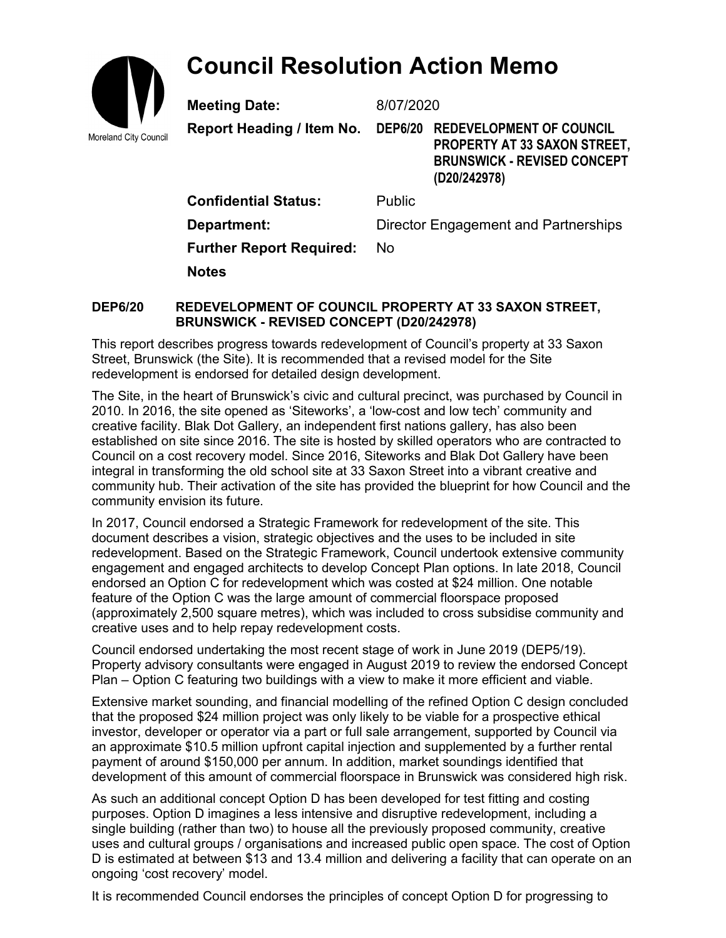## **Council Resolution Action Memo**



**Meeting Date:** 8/07/2020

**Report Heading / Item No. DEP6/20 REDEVELOPMENT OF COUNCIL PROPERTY AT 33 SAXON STREET, BRUNSWICK - REVISED CONCEPT (D20/242978)**

**Confidential Status:** Public **Department:** Director Engagement and Partnerships **Further Report Required:** No **Notes**

## **DEP6/20 REDEVELOPMENT OF COUNCIL PROPERTY AT 33 SAXON STREET, BRUNSWICK - REVISED CONCEPT (D20/242978)**

This report describes progress towards redevelopment of Council's property at 33 Saxon Street, Brunswick (the Site). It is recommended that a revised model for the Site redevelopment is endorsed for detailed design development.

The Site, in the heart of Brunswick's civic and cultural precinct, was purchased by Council in 2010. In 2016, the site opened as 'Siteworks', a 'low-cost and low tech' community and creative facility. Blak Dot Gallery, an independent first nations gallery, has also been established on site since 2016. The site is hosted by skilled operators who are contracted to Council on a cost recovery model. Since 2016, Siteworks and Blak Dot Gallery have been integral in transforming the old school site at 33 Saxon Street into a vibrant creative and community hub. Their activation of the site has provided the blueprint for how Council and the community envision its future.

In 2017, Council endorsed a Strategic Framework for redevelopment of the site. This document describes a vision, strategic objectives and the uses to be included in site redevelopment. Based on the Strategic Framework, Council undertook extensive community engagement and engaged architects to develop Concept Plan options. In late 2018, Council endorsed an Option C for redevelopment which was costed at \$24 million. One notable feature of the Option C was the large amount of commercial floorspace proposed (approximately 2,500 square metres), which was included to cross subsidise community and creative uses and to help repay redevelopment costs.

Council endorsed undertaking the most recent stage of work in June 2019 (DEP5/19). Property advisory consultants were engaged in August 2019 to review the endorsed Concept Plan – Option C featuring two buildings with a view to make it more efficient and viable.

Extensive market sounding, and financial modelling of the refined Option C design concluded that the proposed \$24 million project was only likely to be viable for a prospective ethical investor, developer or operator via a part or full sale arrangement, supported by Council via an approximate \$10.5 million upfront capital injection and supplemented by a further rental payment of around \$150,000 per annum. In addition, market soundings identified that development of this amount of commercial floorspace in Brunswick was considered high risk.

As such an additional concept Option D has been developed for test fitting and costing purposes. Option D imagines a less intensive and disruptive redevelopment, including a single building (rather than two) to house all the previously proposed community, creative uses and cultural groups / organisations and increased public open space. The cost of Option D is estimated at between \$13 and 13.4 million and delivering a facility that can operate on an ongoing 'cost recovery' model.

It is recommended Council endorses the principles of concept Option D for progressing to